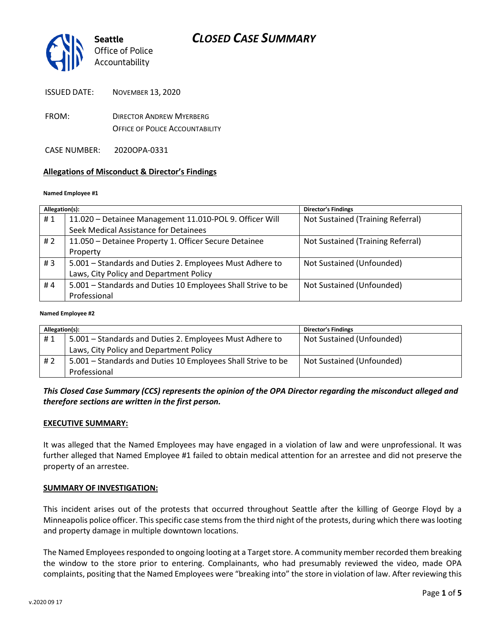

| <b>ISSUED DATE:</b> | <b>NOVEMBER 13, 2020</b> |
|---------------------|--------------------------|
|---------------------|--------------------------|

- FROM: DIRECTOR ANDREW MYERBERG OFFICE OF POLICE ACCOUNTABILITY
- CASE NUMBER: 2020OPA-0331

#### **Allegations of Misconduct & Director's Findings**

#### **Named Employee #1**

| Allegation(s): |                                                              | <b>Director's Findings</b>        |
|----------------|--------------------------------------------------------------|-----------------------------------|
| #1             | 11.020 - Detainee Management 11.010-POL 9. Officer Will      | Not Sustained (Training Referral) |
|                | Seek Medical Assistance for Detainees                        |                                   |
| #2             | 11.050 – Detainee Property 1. Officer Secure Detainee        | Not Sustained (Training Referral) |
|                | Property                                                     |                                   |
| #3             | 5.001 – Standards and Duties 2. Employees Must Adhere to     | Not Sustained (Unfounded)         |
|                | Laws, City Policy and Department Policy                      |                                   |
| #4             | 5.001 - Standards and Duties 10 Employees Shall Strive to be | Not Sustained (Unfounded)         |
|                | Professional                                                 |                                   |
|                |                                                              |                                   |

#### **Named Employee #2**

| Allegation(s): |                                                              | <b>Director's Findings</b> |
|----------------|--------------------------------------------------------------|----------------------------|
| #1             | 5.001 - Standards and Duties 2. Employees Must Adhere to     | Not Sustained (Unfounded)  |
|                | Laws, City Policy and Department Policy                      |                            |
| # $2$          | 5.001 - Standards and Duties 10 Employees Shall Strive to be | Not Sustained (Unfounded)  |
|                | Professional                                                 |                            |

#### *This Closed Case Summary (CCS) represents the opinion of the OPA Director regarding the misconduct alleged and therefore sections are written in the first person.*

#### **EXECUTIVE SUMMARY:**

It was alleged that the Named Employees may have engaged in a violation of law and were unprofessional. It was further alleged that Named Employee #1 failed to obtain medical attention for an arrestee and did not preserve the property of an arrestee.

#### **SUMMARY OF INVESTIGATION:**

This incident arises out of the protests that occurred throughout Seattle after the killing of George Floyd by a Minneapolis police officer. This specific case stems from the third night of the protests, during which there was looting and property damage in multiple downtown locations.

The Named Employees responded to ongoing looting at a Target store. A community member recorded them breaking the window to the store prior to entering. Complainants, who had presumably reviewed the video, made OPA complaints, positing that the Named Employees were "breaking into" the store in violation of law. After reviewing this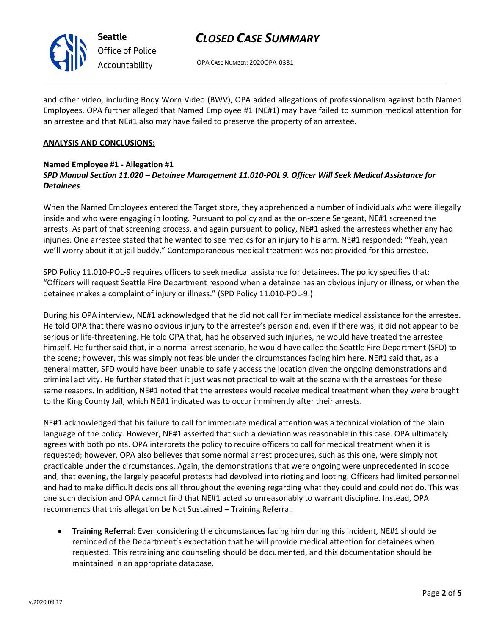

**Seattle** *Office of Police Accountability*

# *CLOSED CASE SUMMARY*

OPA CASE NUMBER: 2020OPA-0331

and other video, including Body Worn Video (BWV), OPA added allegations of professionalism against both Named Employees. OPA further alleged that Named Employee #1 (NE#1) may have failed to summon medical attention for an arrestee and that NE#1 also may have failed to preserve the property of an arrestee.

### **ANALYSIS AND CONCLUSIONS:**

#### **Named Employee #1 - Allegation #1** *SPD Manual Section 11.020 – Detainee Management 11.010-POL 9. Officer Will Seek Medical Assistance for Detainees*

When the Named Employees entered the Target store, they apprehended a number of individuals who were illegally inside and who were engaging in looting. Pursuant to policy and as the on-scene Sergeant, NE#1 screened the arrests. As part of that screening process, and again pursuant to policy, NE#1 asked the arrestees whether any had injuries. One arrestee stated that he wanted to see medics for an injury to his arm. NE#1 responded: "Yeah, yeah we'll worry about it at jail buddy." Contemporaneous medical treatment was not provided for this arrestee.

SPD Policy 11.010-POL-9 requires officers to seek medical assistance for detainees. The policy specifies that: "Officers will request Seattle Fire Department respond when a detainee has an obvious injury or illness, or when the detainee makes a complaint of injury or illness." (SPD Policy 11.010-POL-9.)

During his OPA interview, NE#1 acknowledged that he did not call for immediate medical assistance for the arrestee. He told OPA that there was no obvious injury to the arrestee's person and, even if there was, it did not appear to be serious or life-threatening. He told OPA that, had he observed such injuries, he would have treated the arrestee himself. He further said that, in a normal arrest scenario, he would have called the Seattle Fire Department (SFD) to the scene; however, this was simply not feasible under the circumstances facing him here. NE#1 said that, as a general matter, SFD would have been unable to safely access the location given the ongoing demonstrations and criminal activity. He further stated that it just was not practical to wait at the scene with the arrestees for these same reasons. In addition, NE#1 noted that the arrestees would receive medical treatment when they were brought to the King County Jail, which NE#1 indicated was to occur imminently after their arrests.

NE#1 acknowledged that his failure to call for immediate medical attention was a technical violation of the plain language of the policy. However, NE#1 asserted that such a deviation was reasonable in this case. OPA ultimately agrees with both points. OPA interprets the policy to require officers to call for medical treatment when it is requested; however, OPA also believes that some normal arrest procedures, such as this one, were simply not practicable under the circumstances. Again, the demonstrations that were ongoing were unprecedented in scope and, that evening, the largely peaceful protests had devolved into rioting and looting. Officers had limited personnel and had to make difficult decisions all throughout the evening regarding what they could and could not do. This was one such decision and OPA cannot find that NE#1 acted so unreasonably to warrant discipline. Instead, OPA recommends that this allegation be Not Sustained – Training Referral.

• **Training Referral**: Even considering the circumstances facing him during this incident, NE#1 should be reminded of the Department's expectation that he will provide medical attention for detainees when requested. This retraining and counseling should be documented, and this documentation should be maintained in an appropriate database.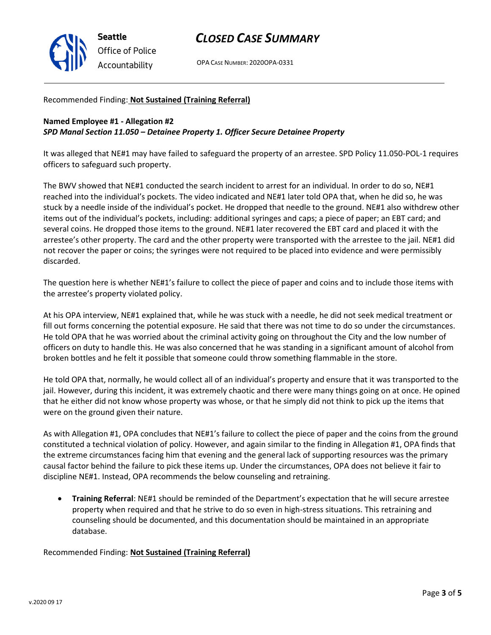

# *CLOSED CASE SUMMARY*

OPA CASE NUMBER: 2020OPA-0331

Recommended Finding: **Not Sustained (Training Referral)**

### **Named Employee #1 - Allegation #2** *SPD Manal Section 11.050 – Detainee Property 1. Officer Secure Detainee Property*

It was alleged that NE#1 may have failed to safeguard the property of an arrestee. SPD Policy 11.050-POL-1 requires officers to safeguard such property.

The BWV showed that NE#1 conducted the search incident to arrest for an individual. In order to do so, NE#1 reached into the individual's pockets. The video indicated and NE#1 later told OPA that, when he did so, he was stuck by a needle inside of the individual's pocket. He dropped that needle to the ground. NE#1 also withdrew other items out of the individual's pockets, including: additional syringes and caps; a piece of paper; an EBT card; and several coins. He dropped those items to the ground. NE#1 later recovered the EBT card and placed it with the arrestee's other property. The card and the other property were transported with the arrestee to the jail. NE#1 did not recover the paper or coins; the syringes were not required to be placed into evidence and were permissibly discarded.

The question here is whether NE#1's failure to collect the piece of paper and coins and to include those items with the arrestee's property violated policy.

At his OPA interview, NE#1 explained that, while he was stuck with a needle, he did not seek medical treatment or fill out forms concerning the potential exposure. He said that there was not time to do so under the circumstances. He told OPA that he was worried about the criminal activity going on throughout the City and the low number of officers on duty to handle this. He was also concerned that he was standing in a significant amount of alcohol from broken bottles and he felt it possible that someone could throw something flammable in the store.

He told OPA that, normally, he would collect all of an individual's property and ensure that it was transported to the jail. However, during this incident, it was extremely chaotic and there were many things going on at once. He opined that he either did not know whose property was whose, or that he simply did not think to pick up the items that were on the ground given their nature.

As with Allegation #1, OPA concludes that NE#1's failure to collect the piece of paper and the coins from the ground constituted a technical violation of policy. However, and again similar to the finding in Allegation #1, OPA finds that the extreme circumstances facing him that evening and the general lack of supporting resources was the primary causal factor behind the failure to pick these items up. Under the circumstances, OPA does not believe it fair to discipline NE#1. Instead, OPA recommends the below counseling and retraining.

• **Training Referral**: NE#1 should be reminded of the Department's expectation that he will secure arrestee property when required and that he strive to do so even in high-stress situations. This retraining and counseling should be documented, and this documentation should be maintained in an appropriate database.

Recommended Finding: **Not Sustained (Training Referral)**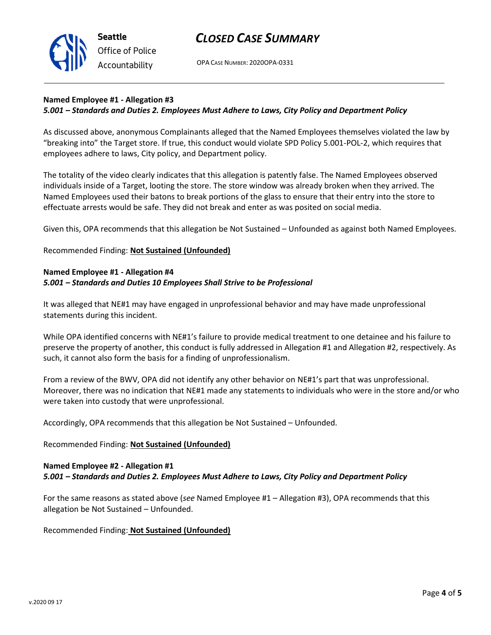

# *CLOSED CASE SUMMARY*

OPA CASE NUMBER: 2020OPA-0331

### **Named Employee #1 - Allegation #3** *5.001 – Standards and Duties 2. Employees Must Adhere to Laws, City Policy and Department Policy*

As discussed above, anonymous Complainants alleged that the Named Employees themselves violated the law by "breaking into" the Target store. If true, this conduct would violate SPD Policy 5.001-POL-2, which requires that employees adhere to laws, City policy, and Department policy.

The totality of the video clearly indicates that this allegation is patently false. The Named Employees observed individuals inside of a Target, looting the store. The store window was already broken when they arrived. The Named Employees used their batons to break portions of the glass to ensure that their entry into the store to effectuate arrests would be safe. They did not break and enter as was posited on social media.

Given this, OPA recommends that this allegation be Not Sustained – Unfounded as against both Named Employees.

Recommended Finding: **Not Sustained (Unfounded)**

#### **Named Employee #1 - Allegation #4** *5.001 – Standards and Duties 10 Employees Shall Strive to be Professional*

It was alleged that NE#1 may have engaged in unprofessional behavior and may have made unprofessional statements during this incident.

While OPA identified concerns with NE#1's failure to provide medical treatment to one detainee and his failure to preserve the property of another, this conduct is fully addressed in Allegation #1 and Allegation #2, respectively. As such, it cannot also form the basis for a finding of unprofessionalism.

From a review of the BWV, OPA did not identify any other behavior on NE#1's part that was unprofessional. Moreover, there was no indication that NE#1 made any statements to individuals who were in the store and/or who were taken into custody that were unprofessional.

Accordingly, OPA recommends that this allegation be Not Sustained – Unfounded.

#### Recommended Finding: **Not Sustained (Unfounded)**

#### **Named Employee #2 - Allegation #1** *5.001 – Standards and Duties 2. Employees Must Adhere to Laws, City Policy and Department Policy*

For the same reasons as stated above (*see* Named Employee #1 – Allegation #3), OPA recommends that this allegation be Not Sustained – Unfounded.

Recommended Finding: **Not Sustained (Unfounded)**